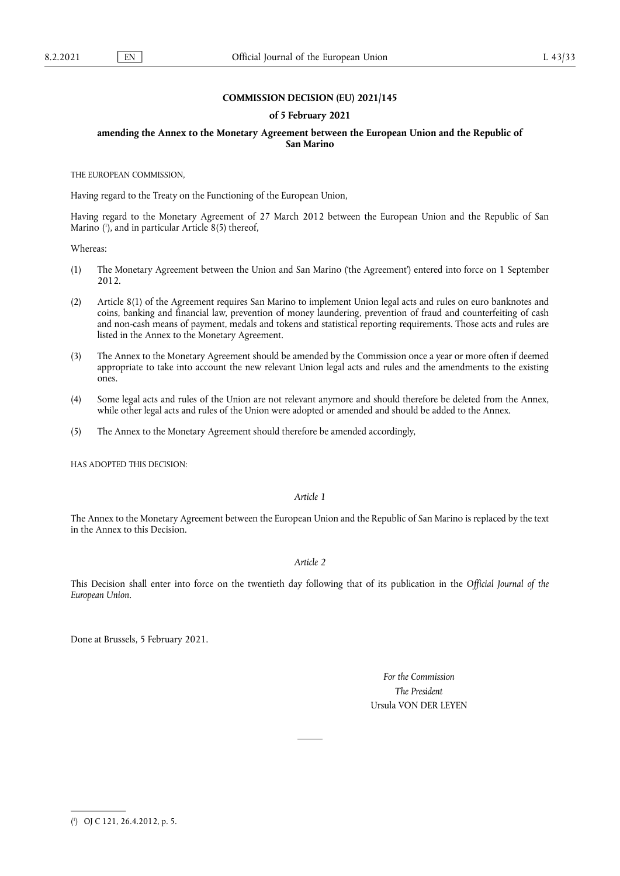### **COMMISSION DECISION (EU) 2021/145**

#### **of 5 February 2021**

#### **amending the Annex to the Monetary Agreement between the European Union and the Republic of San Marino**

THE EUROPEAN COMMISSION,

Having regard to the Treaty on the Functioning of the European Union,

<span id="page-0-1"></span>Having regard to the Monetary Agreement of 27 March 2012 between the European Union and the Republic of San Marino ( 1 [\),](#page-0-0) and in particular Article 8(5) thereof,

Whereas:

- (1) The Monetary Agreement between the Union and San Marino ('the Agreement') entered into force on 1 September 2012.
- (2) Article 8(1) of the Agreement requires San Marino to implement Union legal acts and rules on euro banknotes and coins, banking and financial law, prevention of money laundering, prevention of fraud and counterfeiting of cash and non-cash means of payment, medals and tokens and statistical reporting requirements. Those acts and rules are listed in the Annex to the Monetary Agreement.
- (3) The Annex to the Monetary Agreement should be amended by the Commission once a year or more often if deemed appropriate to take into account the new relevant Union legal acts and rules and the amendments to the existing ones.
- (4) Some legal acts and rules of the Union are not relevant anymore and should therefore be deleted from the Annex, while other legal acts and rules of the Union were adopted or amended and should be added to the Annex.
- (5) The Annex to the Monetary Agreement should therefore be amended accordingly,

HAS ADOPTED THIS DECISION:

#### *Article 1*

The Annex to the Monetary Agreement between the European Union and the Republic of San Marino is replaced by the text in the Annex to this Decision.

#### *Article 2*

This Decision shall enter into force on the twentieth day following that of its publication in the *Official Journal of the European Union*.

Done at Brussels, 5 February 2021.

*For the Commission The President*  Ursula VON DER LEYEN

<span id="page-0-0"></span>[<sup>\(</sup>](#page-0-1) 1 ) OJ C 121, 26.4.2012, p. 5.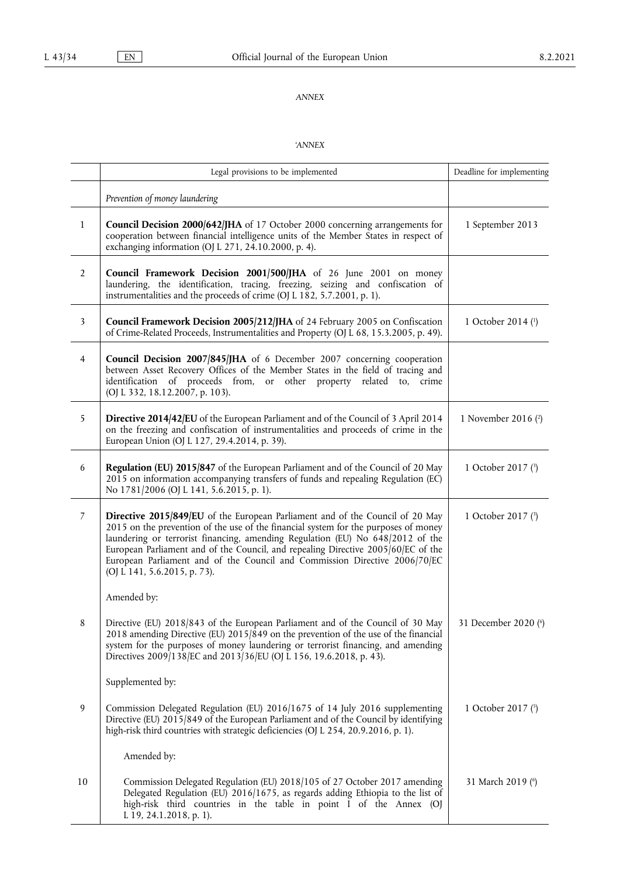## *ANNEX*

# <span id="page-1-4"></span><span id="page-1-3"></span><span id="page-1-2"></span><span id="page-1-1"></span><span id="page-1-0"></span>*'ANNEX*

|                | Legal provisions to be implemented                                                                                                                                                                                                                                                                                                                                                                                                                        | Deadline for implementing |
|----------------|-----------------------------------------------------------------------------------------------------------------------------------------------------------------------------------------------------------------------------------------------------------------------------------------------------------------------------------------------------------------------------------------------------------------------------------------------------------|---------------------------|
|                | Prevention of money laundering                                                                                                                                                                                                                                                                                                                                                                                                                            |                           |
| $\mathbf{1}$   | Council Decision 2000/642/JHA of 17 October 2000 concerning arrangements for<br>cooperation between financial intelligence units of the Member States in respect of<br>exchanging information (OJ L 271, 24.10.2000, p. 4).                                                                                                                                                                                                                               | 1 September 2013          |
| $\overline{2}$ | Council Framework Decision 2001/500/JHA of 26 June 2001 on money<br>laundering, the identification, tracing, freezing, seizing and confiscation of<br>instrumentalities and the proceeds of crime (OJ L 182, 5.7.2001, p. 1).                                                                                                                                                                                                                             |                           |
| $\mathfrak{Z}$ | Council Framework Decision 2005/212/JHA of 24 February 2005 on Confiscation<br>of Crime-Related Proceeds, Instrumentalities and Property (OJ L 68, 15.3.2005, p. 49).                                                                                                                                                                                                                                                                                     | 1 October 2014 (1)        |
| $\overline{4}$ | Council Decision 2007/845/JHA of 6 December 2007 concerning cooperation<br>between Asset Recovery Offices of the Member States in the field of tracing and<br>identification of proceeds from, or other property related to, crime<br>(OJ L 332, 18.12.2007, p. 103).                                                                                                                                                                                     |                           |
| 5              | Directive 2014/42/EU of the European Parliament and of the Council of 3 April 2014<br>on the freezing and confiscation of instrumentalities and proceeds of crime in the<br>European Union (OJ L 127, 29.4.2014, p. 39).                                                                                                                                                                                                                                  | 1 November 2016 (2)       |
| 6              | Regulation (EU) 2015/847 of the European Parliament and of the Council of 20 May<br>2015 on information accompanying transfers of funds and repealing Regulation (EC)<br>No 1781/2006 (OJ L 141, 5.6.2015, p. 1).                                                                                                                                                                                                                                         | 1 October 2017 (3)        |
| 7              | Directive 2015/849/EU of the European Parliament and of the Council of 20 May<br>2015 on the prevention of the use of the financial system for the purposes of money<br>laundering or terrorist financing, amending Regulation (EU) No 648/2012 of the<br>European Parliament and of the Council, and repealing Directive 2005/60/EC of the<br>European Parliament and of the Council and Commission Directive 2006/70/EC<br>(OJ L 141, 5.6.2015, p. 73). | 1 October 2017 (3)        |
|                | Amended by:                                                                                                                                                                                                                                                                                                                                                                                                                                               |                           |
| 8              | Directive (EU) 2018/843 of the European Parliament and of the Council of 30 May<br>2018 amending Directive (EU) 2015/849 on the prevention of the use of the financial<br>system for the purposes of money laundering or terrorist financing, and amending<br>Directives 2009/138/EC and 2013/36/EU (OJ L 156, 19.6.2018, p. 43).                                                                                                                         | 31 December 2020 (6)      |
|                | Supplemented by:                                                                                                                                                                                                                                                                                                                                                                                                                                          |                           |
| 9              | Commission Delegated Regulation (EU) 2016/1675 of 14 July 2016 supplementing<br>Directive (EU) 2015/849 of the European Parliament and of the Council by identifying<br>high-risk third countries with strategic deficiencies (OJ L 254, 20.9.2016, p. 1).                                                                                                                                                                                                | 1 October 2017 (5)        |
|                | Amended by:                                                                                                                                                                                                                                                                                                                                                                                                                                               |                           |
| 10             | Commission Delegated Regulation (EU) 2018/105 of 27 October 2017 amending<br>Delegated Regulation (EU) 2016/1675, as regards adding Ethiopia to the list of<br>high-risk third countries in the table in point I of the Annex (OJ<br>L 19, 24.1.2018, p. 1).                                                                                                                                                                                              | 31 March 2019 (6)         |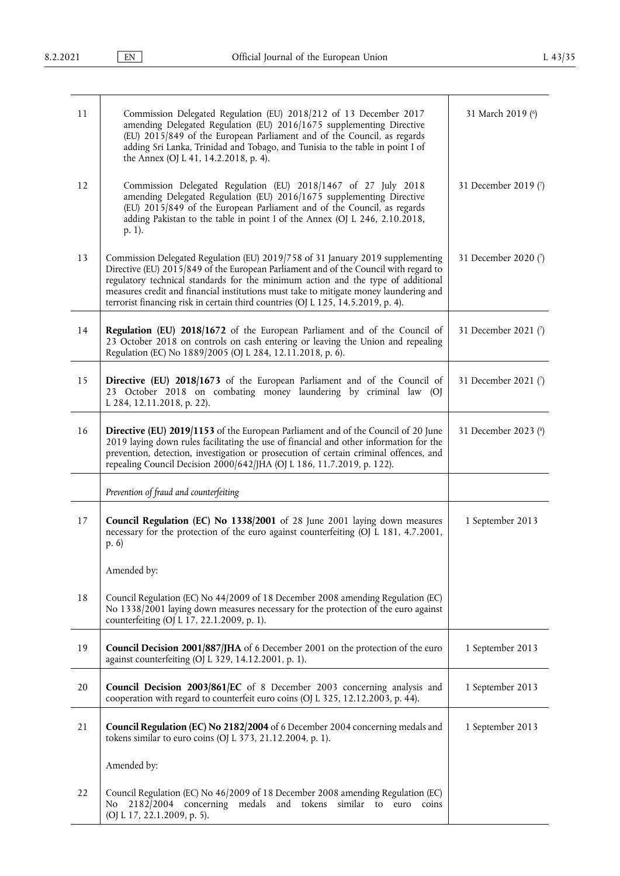<span id="page-2-1"></span><span id="page-2-0"></span>

| 11 | Commission Delegated Regulation (EU) 2018/212 of 13 December 2017<br>amending Delegated Regulation (EU) 2016/1675 supplementing Directive<br>(EU) 2015/849 of the European Parliament and of the Council, as regards<br>adding Sri Lanka, Trinidad and Tobago, and Tunisia to the table in point I of<br>the Annex (OJ L 41, 14.2.2018, p. 4).                                                                                          | 31 March 2019 (6)    |
|----|-----------------------------------------------------------------------------------------------------------------------------------------------------------------------------------------------------------------------------------------------------------------------------------------------------------------------------------------------------------------------------------------------------------------------------------------|----------------------|
| 12 | Commission Delegated Regulation (EU) 2018/1467 of 27 July 2018<br>amending Delegated Regulation (EU) 2016/1675 supplementing Directive<br>(EU) 2015/849 of the European Parliament and of the Council, as regards<br>adding Pakistan to the table in point I of the Annex (OJ L 246, 2.10.2018,<br>p. 1).                                                                                                                               | 31 December 2019 (7) |
| 13 | Commission Delegated Regulation (EU) 2019/758 of 31 January 2019 supplementing<br>Directive (EU) 2015/849 of the European Parliament and of the Council with regard to<br>regulatory technical standards for the minimum action and the type of additional<br>measures credit and financial institutions must take to mitigate money laundering and<br>terrorist financing risk in certain third countries (OJ L 125, 14.5.2019, p. 4). | 31 December 2020 (7) |
| 14 | Regulation (EU) 2018/1672 of the European Parliament and of the Council of<br>23 October 2018 on controls on cash entering or leaving the Union and repealing<br>Regulation (EC) No 1889/2005 (OJ L 284, 12.11.2018, p. 6).                                                                                                                                                                                                             | 31 December 2021 (7) |
| 15 | Directive (EU) 2018/1673 of the European Parliament and of the Council of<br>23 October 2018 on combating money laundering by criminal law (OJ<br>L 284, 12.11.2018, p. 22).                                                                                                                                                                                                                                                            | 31 December 2021 (7) |
| 16 | Directive (EU) 2019/1153 of the European Parliament and of the Council of 20 June<br>2019 laying down rules facilitating the use of financial and other information for the<br>prevention, detection, investigation or prosecution of certain criminal offences, and<br>repealing Council Decision 2000/642/JHA (OJ L 186, 11.7.2019, p. 122).                                                                                          | 31 December 2023 (8) |
|    | Prevention of fraud and counterfeiting                                                                                                                                                                                                                                                                                                                                                                                                  |                      |
| 17 | Council Regulation (EC) No 1338/2001 of 28 June 2001 laying down measures<br>necessary for the protection of the euro against counterfeiting (OJ L 181, 4.7.2001,<br>p.6                                                                                                                                                                                                                                                                | 1 September 2013     |
|    | Amended by:                                                                                                                                                                                                                                                                                                                                                                                                                             |                      |
| 18 | Council Regulation (EC) No 44/2009 of 18 December 2008 amending Regulation (EC)<br>No 1338/2001 laying down measures necessary for the protection of the euro against<br>counterfeiting (OJ L 17, 22.1.2009, p. 1).                                                                                                                                                                                                                     |                      |
| 19 | Council Decision 2001/887/JHA of 6 December 2001 on the protection of the euro<br>against counterfeiting (OJ L 329, 14.12.2001, p. 1).                                                                                                                                                                                                                                                                                                  | 1 September 2013     |
| 20 | <b>Council Decision 2003/861/EC</b> of 8 December 2003 concerning analysis and<br>cooperation with regard to counterfeit euro coins (OJ L 325, 12.12.2003, p. 44).                                                                                                                                                                                                                                                                      | 1 September 2013     |
| 21 | Council Regulation (EC) No 2182/2004 of 6 December 2004 concerning medals and<br>tokens similar to euro coins (OJ L 373, 21.12.2004, p. 1).                                                                                                                                                                                                                                                                                             | 1 September 2013     |
|    | Amended by:                                                                                                                                                                                                                                                                                                                                                                                                                             |                      |
| 22 | Council Regulation (EC) No 46/2009 of 18 December 2008 amending Regulation (EC)<br>2182/2004 concerning medals and tokens<br>similar<br>N <sub>o</sub><br>to<br>euro coins<br>(OJ L 17, 22.1.2009, p. 5).                                                                                                                                                                                                                               |                      |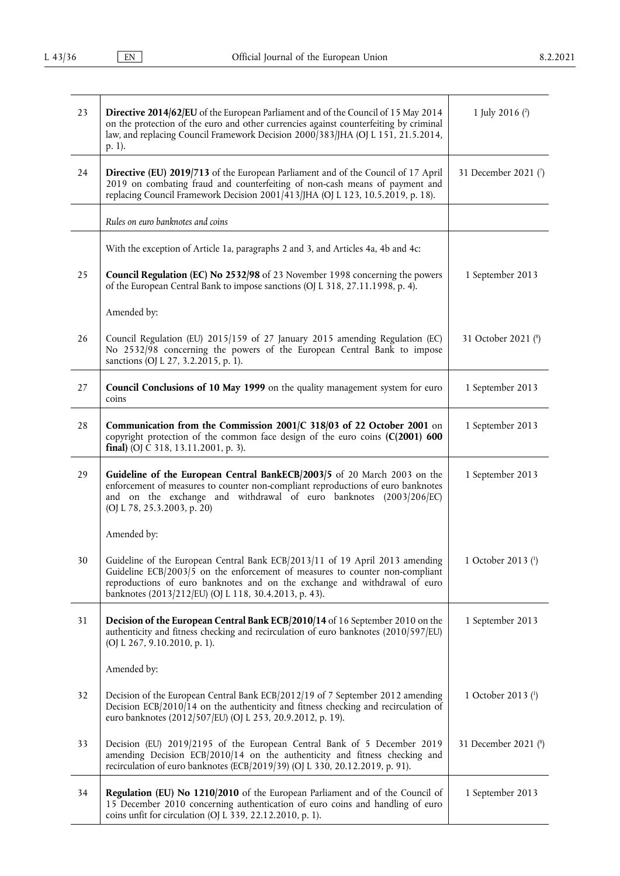| 23 | Directive 2014/62/EU of the European Parliament and of the Council of 15 May 2014<br>on the protection of the euro and other currencies against counterfeiting by criminal<br>law, and replacing Council Framework Decision 2000 383 [JHA (OJ L 151, 21.5.2014,<br>p. 1).                           | 1 July 2016 $(2)$    |
|----|-----------------------------------------------------------------------------------------------------------------------------------------------------------------------------------------------------------------------------------------------------------------------------------------------------|----------------------|
| 24 | Directive (EU) 2019/713 of the European Parliament and of the Council of 17 April<br>2019 on combating fraud and counterfeiting of non-cash means of payment and<br>replacing Council Framework Decision 2001/413/JHA (OJ L 123, 10.5.2019, p. 18).                                                 | 31 December 2021 (7) |
|    | Rules on euro banknotes and coins                                                                                                                                                                                                                                                                   |                      |
|    | With the exception of Article 1a, paragraphs 2 and 3, and Articles 4a, 4b and 4c:                                                                                                                                                                                                                   |                      |
| 25 | Council Regulation (EC) No 2532/98 of 23 November 1998 concerning the powers<br>of the European Central Bank to impose sanctions (OJ L 318, 27.11.1998, p. 4).                                                                                                                                      | 1 September 2013     |
|    | Amended by:                                                                                                                                                                                                                                                                                         |                      |
| 26 | Council Regulation (EU) 2015/159 of 27 January 2015 amending Regulation (EC)<br>No 2532/98 concerning the powers of the European Central Bank to impose<br>sanctions (OJ L 27, 3.2.2015, p. 1).                                                                                                     | 31 October 2021 (8)  |
| 27 | Council Conclusions of 10 May 1999 on the quality management system for euro<br>coins                                                                                                                                                                                                               | 1 September 2013     |
| 28 | Communication from the Commission 2001/C 318/03 of 22 October 2001 on<br>copyright protection of the common face design of the euro coins $(C(2001) 600$<br>final) (OJ C 318, 13.11.2001, p. 3).                                                                                                    | 1 September 2013     |
| 29 | Guideline of the European Central BankECB/2003/5 of 20 March 2003 on the<br>enforcement of measures to counter non-compliant reproductions of euro banknotes<br>and on the exchange and withdrawal of euro banknotes (2003/206/EC)<br>(OJ L 78, 25.3.2003, p. 20)                                   | 1 September 2013     |
|    | Amended by:                                                                                                                                                                                                                                                                                         |                      |
| 30 | Guideline of the European Central Bank ECB/2013/11 of 19 April 2013 amending<br>Guideline ECB/2003/5 on the enforcement of measures to counter non-compliant<br>reproductions of euro banknotes and on the exchange and withdrawal of euro<br>banknotes (2013/212/EU) (OJ L 118, 30.4.2013, p. 43). | 1 October 2013 (1)   |
| 31 | Decision of the European Central Bank ECB/2010/14 of 16 September 2010 on the<br>authenticity and fitness checking and recirculation of euro banknotes (2010/597/EU)<br>(OJ L 267, 9.10.2010, p. 1).                                                                                                | 1 September 2013     |
|    | Amended by:                                                                                                                                                                                                                                                                                         |                      |
| 32 | Decision of the European Central Bank ECB/2012/19 of 7 September 2012 amending<br>Decision ECB/2010/14 on the authenticity and fitness checking and recirculation of<br>euro banknotes (2012/507/EU) (OJ L 253, 20.9.2012, p. 19).                                                                  | 1 October 2013 (1)   |
| 33 | Decision (EU) 2019/2195 of the European Central Bank of 5 December 2019<br>amending Decision ECB/2010/14 on the authenticity and fitness checking and<br>recirculation of euro banknotes (ECB/2019/39) (OJ L 330, 20.12.2019, p. 91).                                                               | 31 December 2021 (8) |
| 34 | Regulation (EU) No 1210/2010 of the European Parliament and of the Council of<br>15 December 2010 concerning authentication of euro coins and handling of euro<br>coins unfit for circulation (OJ L 339, 22.12.2010, p. 1).                                                                         | 1 September 2013     |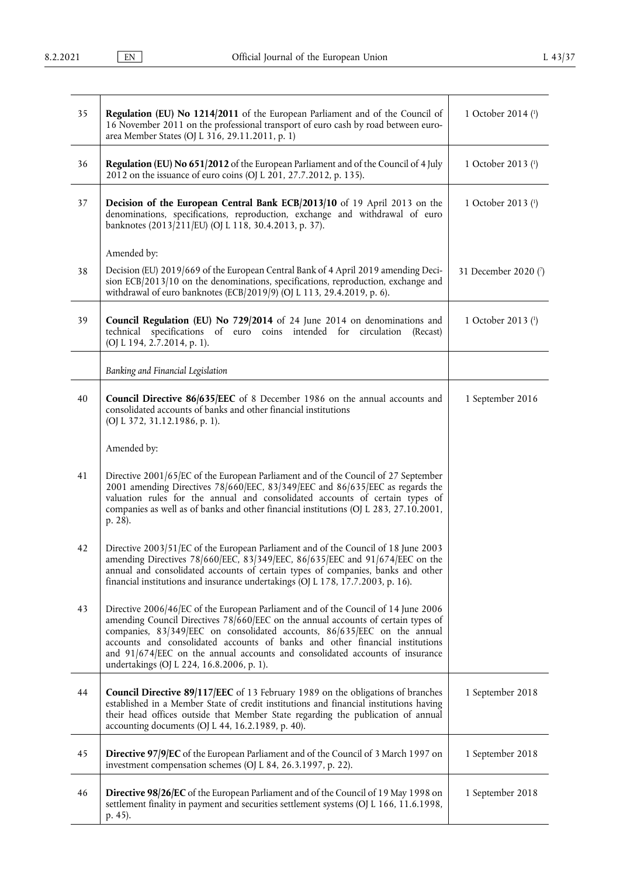| 35 | Regulation (EU) No 1214/2011 of the European Parliament and of the Council of<br>16 November 2011 on the professional transport of euro cash by road between euro-<br>area Member States (OJ L 316, 29.11.2011, p. 1)                                                                                                                                                                                                                                            | 1 October 2014 (1)   |
|----|------------------------------------------------------------------------------------------------------------------------------------------------------------------------------------------------------------------------------------------------------------------------------------------------------------------------------------------------------------------------------------------------------------------------------------------------------------------|----------------------|
| 36 | Regulation (EU) No 651/2012 of the European Parliament and of the Council of 4 July<br>2012 on the issuance of euro coins (OJ L 201, 27.7.2012, p. 135).                                                                                                                                                                                                                                                                                                         | 1 October 2013 (1)   |
| 37 | Decision of the European Central Bank ECB/2013/10 of 19 April 2013 on the<br>denominations, specifications, reproduction, exchange and withdrawal of euro<br>banknotes (2013/211/EU) (OJ L 118, 30.4.2013, p. 37).                                                                                                                                                                                                                                               | 1 October 2013 (1)   |
|    | Amended by:                                                                                                                                                                                                                                                                                                                                                                                                                                                      |                      |
| 38 | Decision (EU) 2019/669 of the European Central Bank of 4 April 2019 amending Deci-<br>sion ECB/2013/10 on the denominations, specifications, reproduction, exchange and<br>withdrawal of euro banknotes (ECB/2019/9) (OJ L 113, 29.4.2019, p. 6).                                                                                                                                                                                                                | 31 December 2020 (7) |
| 39 | Council Regulation (EU) No 729/2014 of 24 June 2014 on denominations and<br>specifications of euro coins intended for circulation<br>technical<br>(Recast)<br>(OJ L 194, 2.7.2014, p. 1).                                                                                                                                                                                                                                                                        | 1 October 2013 (1)   |
|    | Banking and Financial Legislation                                                                                                                                                                                                                                                                                                                                                                                                                                |                      |
| 40 | <b>Council Directive 86/635/EEC</b> of 8 December 1986 on the annual accounts and<br>consolidated accounts of banks and other financial institutions<br>(OJ L 372, 31.12.1986, p. 1).                                                                                                                                                                                                                                                                            | 1 September 2016     |
|    | Amended by:                                                                                                                                                                                                                                                                                                                                                                                                                                                      |                      |
| 41 | Directive 2001/65/EC of the European Parliament and of the Council of 27 September<br>2001 amending Directives 78/660/EEC, 83/349/EEC and 86/635/EEC as regards the<br>valuation rules for the annual and consolidated accounts of certain types of<br>companies as well as of banks and other financial institutions (OJ L 283, 27.10.2001,<br>p. 28).                                                                                                          |                      |
| 42 | Directive 2003/51/EC of the European Parliament and of the Council of 18 June 2003<br>amending Directives 78/660/EEC, 83/349/EEC, 86/635/EEC and 91/674/EEC on the<br>annual and consolidated accounts of certain types of companies, banks and other<br>financial institutions and insurance undertakings (OJ L 178, 17.7.2003, p. 16).                                                                                                                         |                      |
| 43 | Directive 2006/46/EC of the European Parliament and of the Council of 14 June 2006<br>amending Council Directives 78/660/EEC on the annual accounts of certain types of<br>companies, 83/349/EEC on consolidated accounts, 86/635/EEC on the annual<br>accounts and consolidated accounts of banks and other financial institutions<br>and 91/674/EEC on the annual accounts and consolidated accounts of insurance<br>undertakings (OJ L 224, 16.8.2006, p. 1). |                      |
| 44 | Council Directive 89/117/EEC of 13 February 1989 on the obligations of branches<br>established in a Member State of credit institutions and financial institutions having<br>their head offices outside that Member State regarding the publication of annual<br>accounting documents (OJ L 44, 16.2.1989, p. 40).                                                                                                                                               | 1 September 2018     |
| 45 | <b>Directive 97/9/EC</b> of the European Parliament and of the Council of 3 March 1997 on<br>investment compensation schemes (OJ L 84, 26.3.1997, p. 22).                                                                                                                                                                                                                                                                                                        | 1 September 2018     |
| 46 | Directive 98/26/EC of the European Parliament and of the Council of 19 May 1998 on<br>settlement finality in payment and securities settlement systems (OJ L 166, 11.6.1998,<br>p. 45).                                                                                                                                                                                                                                                                          | 1 September 2018     |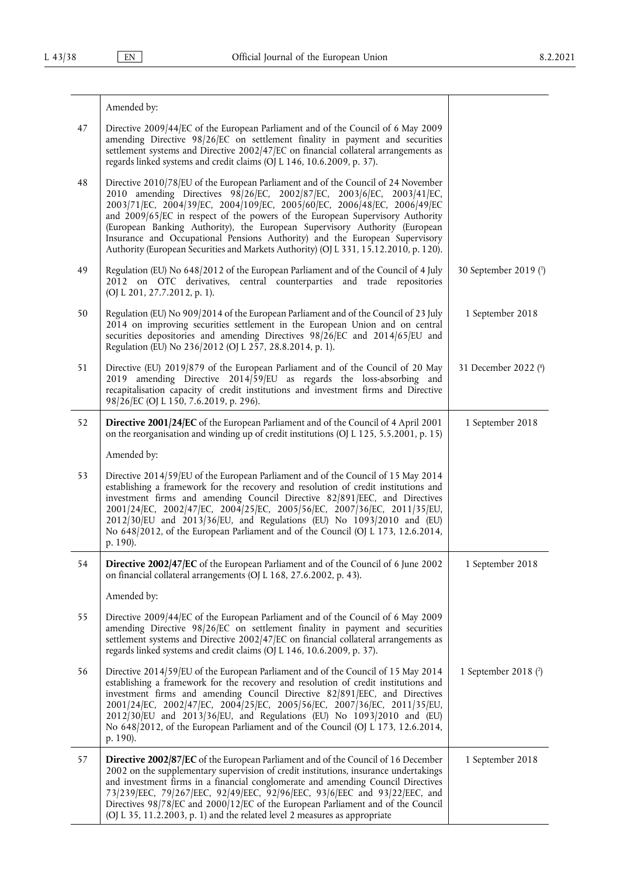|    | Amended by:                                                                                                                                                                                                                                                                                                                                                                                                                                                                                                                                                                  |                       |
|----|------------------------------------------------------------------------------------------------------------------------------------------------------------------------------------------------------------------------------------------------------------------------------------------------------------------------------------------------------------------------------------------------------------------------------------------------------------------------------------------------------------------------------------------------------------------------------|-----------------------|
| 47 | Directive 2009/44/EC of the European Parliament and of the Council of 6 May 2009<br>amending Directive 98/26/EC on settlement finality in payment and securities<br>settlement systems and Directive 2002/47/EC on financial collateral arrangements as<br>regards linked systems and credit claims (OJ L 146, 10.6.2009, p. 37).                                                                                                                                                                                                                                            |                       |
| 48 | Directive 2010/78/EU of the European Parliament and of the Council of 24 November<br>2010 amending Directives 98/26/EC, 2002/87/EC, 2003/6/EC, 2003/41/EC,<br>2003/71/EC, 2004/39/EC, 2004/109/EC, 2005/60/EC, 2006/48/EC, 2006/49/EC<br>and 2009/65/EC in respect of the powers of the European Supervisory Authority<br>(European Banking Authority), the European Supervisory Authority (European<br>Insurance and Occupational Pensions Authority) and the European Supervisory<br>Authority (European Securities and Markets Authority) (OJ L 331, 15.12.2010, p. 120). |                       |
| 49 | Regulation (EU) No 648/2012 of the European Parliament and of the Council of 4 July<br>2012 on OTC derivatives, central counterparties and trade repositories<br>(OJ L 201, 27.7.2012, p. 1).                                                                                                                                                                                                                                                                                                                                                                                | 30 September 2019 (3) |
| 50 | Regulation (EU) No 909/2014 of the European Parliament and of the Council of 23 July<br>2014 on improving securities settlement in the European Union and on central<br>securities depositories and amending Directives 98/26/EC and 2014/65/EU and<br>Regulation (EU) No 236/2012 (OJ L 257, 28.8.2014, p. 1).                                                                                                                                                                                                                                                              | 1 September 2018      |
| 51 | Directive (EU) 2019/879 of the European Parliament and of the Council of 20 May<br>amending Directive $2014/59/EU$ as regards the loss-absorbing and<br>2019<br>recapitalisation capacity of credit institutions and investment firms and Directive<br>98/26/EC (OJ L 150, 7.6.2019, p. 296).                                                                                                                                                                                                                                                                                | 31 December 2022 (8)  |
| 52 | Directive 2001/24/EC of the European Parliament and of the Council of 4 April 2001<br>on the reorganisation and winding up of credit institutions (OJ L 125, 5.5.2001, p. 15)                                                                                                                                                                                                                                                                                                                                                                                                | 1 September 2018      |
|    | Amended by:                                                                                                                                                                                                                                                                                                                                                                                                                                                                                                                                                                  |                       |
| 53 | Directive 2014/59/EU of the European Parliament and of the Council of 15 May 2014<br>establishing a framework for the recovery and resolution of credit institutions and<br>investment firms and amending Council Directive 82/891/EEC, and Directives<br>2001/24/EC, 2002/47/EC, 2004/25/EC, 2005/56/EC, 2007/36/EC, 2011/35/EU,<br>2012/30/EU and 2013/36/EU, and Regulations (EU) No 1093/2010 and (EU)<br>No 648/2012, of the European Parliament and of the Council (OJ L 173, 12.6.2014,<br>p. 190).                                                                   |                       |
| 54 | Directive 2002/47/EC of the European Parliament and of the Council of 6 June 2002<br>on financial collateral arrangements (OJ L 168, 27.6.2002, p. 43).                                                                                                                                                                                                                                                                                                                                                                                                                      | 1 September 2018      |
|    | Amended by:                                                                                                                                                                                                                                                                                                                                                                                                                                                                                                                                                                  |                       |
| 55 | Directive 2009/44/EC of the European Parliament and of the Council of 6 May 2009<br>amending Directive 98/26/EC on settlement finality in payment and securities<br>settlement systems and Directive 2002/47/EC on financial collateral arrangements as<br>regards linked systems and credit claims (OJ L 146, 10.6.2009, p. 37).                                                                                                                                                                                                                                            |                       |
| 56 | Directive 2014/59/EU of the European Parliament and of the Council of 15 May 2014<br>establishing a framework for the recovery and resolution of credit institutions and<br>investment firms and amending Council Directive 82/891/EEC, and Directives<br>2001/24/EC, 2002/47/EC, 2004/25/EC, 2005/56/EC, 2007/36/EC, 2011/35/EU,<br>2012/30/EU and 2013/36/EU, and Regulations (EU) No 1093/2010 and (EU)<br>No 648/2012, of the European Parliament and of the Council (OJ L 173, 12.6.2014,<br>p. 190).                                                                   | 1 September 2018 (2)  |
| 57 | Directive 2002/87/EC of the European Parliament and of the Council of 16 December<br>2002 on the supplementary supervision of credit institutions, insurance undertakings<br>and investment firms in a financial conglomerate and amending Council Directives<br>73/239/EEC, 79/267/EEC, 92/49/EEC, 92/96/EEC, 93/6/EEC and 93/22/EEC, and<br>Directives 98/78/EC and 2000/12/EC of the European Parliament and of the Council<br>(OJ L 35, 11.2.2003, p. 1) and the related level 2 measures as appropriate                                                                 | 1 September 2018      |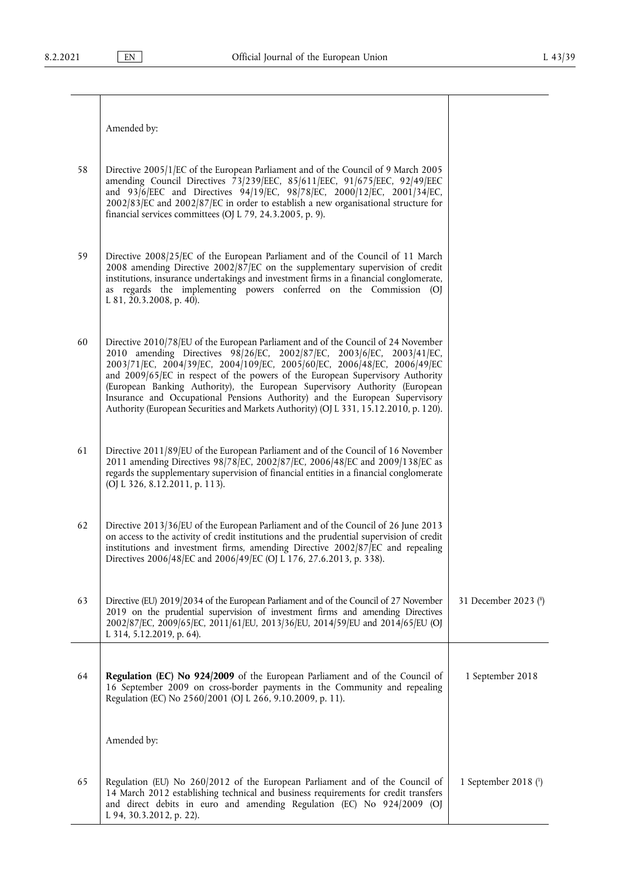Amended by:

| 58 | Directive 2005/1/EC of the European Parliament and of the Council of 9 March 2005<br>amending Council Directives 73/239/EEC, 85/611/EEC, 91/675/EEC, 92/49/EEC<br>and 93/6/EEC and Directives 94/19/EC, 98/78/EC, 2000/12/EC, 2001/34/EC,<br>2002/83/EC and 2002/87/EC in order to establish a new organisational structure for<br>financial services committees (OJ L 79, 24.3.2005, p. 9). |
|----|----------------------------------------------------------------------------------------------------------------------------------------------------------------------------------------------------------------------------------------------------------------------------------------------------------------------------------------------------------------------------------------------|
|    |                                                                                                                                                                                                                                                                                                                                                                                              |

- 59 Directive 2008/25/EC of the European Parliament and of the Council of 11 March 2008 amending Directive 2002/87/EC on the supplementary supervision of credit institutions, insurance undertakings and investment firms in a financial conglomerate, as regards the implementing powers conferred on the Commission (OJ L 81, 20.3.2008, p. 40).
- 60 Directive 2010/78/EU of the European Parliament and of the Council of 24 November 2010 amending Directives 98/26/EC, 2002/87/EC, 2003/6/EC, 2003/41/EC, 2003/71/EC, 2004/39/EC, 2004/109/EC, 2005/60/EC, 2006/48/EC, 2006/49/EC and 2009/65/EC in respect of the powers of the European Supervisory Authority (European Banking Authority), the European Supervisory Authority (European Insurance and Occupational Pensions Authority) and the European Supervisory Authority (European Securities and Markets Authority) (OJ L 331, 15.12.2010, p. 120).
- 61 Directive 2011/89/EU of the European Parliament and of the Council of 16 November 2011 amending Directives 98/78/EC, 2002/87/EC, 2006/48/EC and 2009/138/EC as regards the supplementary supervision of financial entities in a financial conglomerate (OJ L 326, 8.12.2011, p. 113).
- 62 Directive 2013/36/EU of the European Parliament and of the Council of 26 June 2013 on access to the activity of credit institutions and the prudential supervision of credit institutions and investment firms, amending Directive 2002/87/EC and repealing Directives 2006/48/EC and 2006/49/EC (OJ L 176, 27.6.2013, p. 338).
- 63 Directive (EU) 2019/2034 of the European Parliament and of the Council of 27 November 2019 on the prudential supervision of investment firms and amending Directives 2002/87/EC, 2009/65/EC, 2011/61/EU, 2013/36/EU, 2014/59/EU and 2014/65/EU (OJ L 314, 5.12.2019, p. 64). 31 December 202[3 \(](#page-13-6) 8 ) 64 **Regulation (EC) No 924/2009** of the European Parliament and of the Council of 16 September 2009 on cross-border payments in the Community and repealing Regulation (EC) No 2560/2001 (OJ L 266, 9.10.2009, p. 11). 1 September 2018

Amended by:

65 Regulation (EU) No 260/2012 of the European Parliament and of the Council of 14 March 2012 establishing technical and business requirements for credit transfers and direct debits in euro and amending Regulation (EC) No 924/2009 (OJ L 94, 30.3.2012, p. 22). 1 September 2018 [\(](#page-13-0) 1 )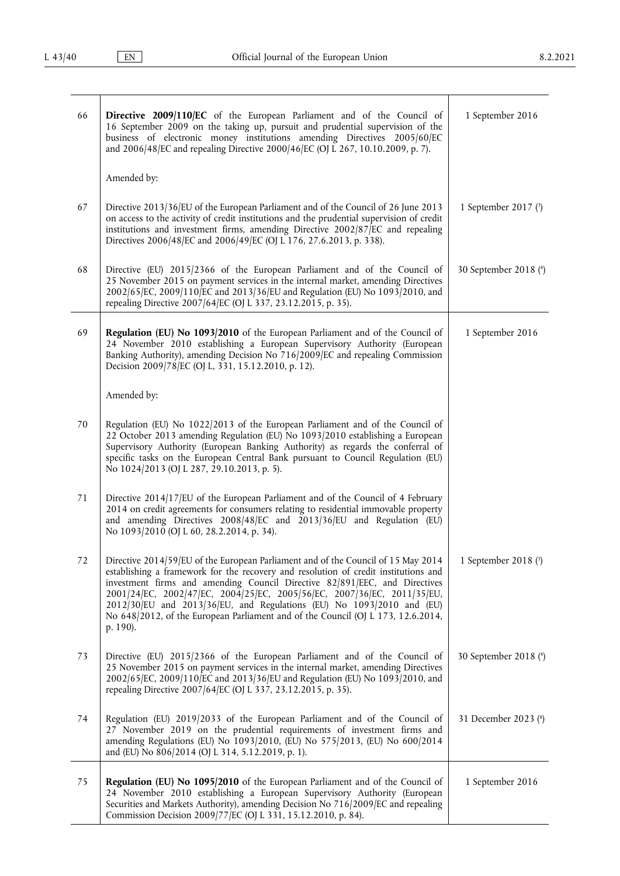<span id="page-7-0"></span>

| 66 | Directive 2009/110/EC of the European Parliament and of the Council of<br>16 September 2009 on the taking up, pursuit and prudential supervision of the<br>business of electronic money institutions amending Directives 2005/60/EC<br>and 2006/48/EC and repealing Directive 2000/46/EC (OJ L 267, 10.10.2009, p. 7).                                                                                                                                                                                     | 1 September 2016       |
|----|------------------------------------------------------------------------------------------------------------------------------------------------------------------------------------------------------------------------------------------------------------------------------------------------------------------------------------------------------------------------------------------------------------------------------------------------------------------------------------------------------------|------------------------|
|    | Amended by:                                                                                                                                                                                                                                                                                                                                                                                                                                                                                                |                        |
| 67 | Directive 2013/36/EU of the European Parliament and of the Council of 26 June 2013<br>on access to the activity of credit institutions and the prudential supervision of credit<br>institutions and investment firms, amending Directive 2002/87/EC and repealing<br>Directives 2006/48/EC and 2006/49/EC (OJ L 176, 27.6.2013, p. 338).                                                                                                                                                                   | 1 September 2017 (3)   |
| 68 | Directive (EU) 2015/2366 of the European Parliament and of the Council of<br>25 November 2015 on payment services in the internal market, amending Directives<br>2002/65/EC, 2009/110/EC and 2013/36/EU and Regulation (EU) No 1093/2010, and<br>repealing Directive 2007/64/EC (OJ L 337, 23.12.2015, p. 35).                                                                                                                                                                                             | 30 September 2018 (4)  |
| 69 | Regulation (EU) No 1093/2010 of the European Parliament and of the Council of<br>24 November 2010 establishing a European Supervisory Authority (European<br>Banking Authority), amending Decision No 716/2009/EC and repealing Commission<br>Decision 2009/78/EC (OJ L, 331, 15.12.2010, p. 12).                                                                                                                                                                                                          | 1 September 2016       |
|    | Amended by:                                                                                                                                                                                                                                                                                                                                                                                                                                                                                                |                        |
| 70 | Regulation (EU) No 1022/2013 of the European Parliament and of the Council of<br>22 October 2013 amending Regulation (EU) No 1093/2010 establishing a European<br>Supervisory Authority (European Banking Authority) as regards the conferral of<br>specific tasks on the European Central Bank pursuant to Council Regulation (EU)<br>No 1024/2013 (OJ L 287, 29.10.2013, p. 5).                                                                                                                          |                        |
| 71 | Directive 2014/17/EU of the European Parliament and of the Council of 4 February<br>2014 on credit agreements for consumers relating to residential immovable property<br>and amending Directives 2008/48/EC and 2013/36/EU and Regulation (EU)<br>No 1093/2010 (OJ L 60, 28.2.2014, p. 34).                                                                                                                                                                                                               |                        |
| 72 | Directive 2014/59/EU of the European Parliament and of the Council of 15 May 2014<br>establishing a framework for the recovery and resolution of credit institutions and<br>investment firms and amending Council Directive 82/891/EEC, and Directives<br>2001/24/EC, 2002/47/EC, 2004/25/EC, 2005/56/EC, 2007/36/EC, 2011/35/EU,<br>2012/30/EU and 2013/36/EU, and Regulations (EU) No 1093/2010 and (EU)<br>No 648/2012, of the European Parliament and of the Council (OJ L 173, 12.6.2014,<br>p. 190). | 1 September 2018 $(3)$ |
| 73 | Directive (EU) 2015/2366 of the European Parliament and of the Council of<br>25 November 2015 on payment services in the internal market, amending Directives<br>2002/65/EC, 2009/110/EC and 2013/36/EU and Regulation (EU) No 1093/2010, and<br>repealing Directive 2007/64/EC (OJ L 337, 23.12.2015, p. 35).                                                                                                                                                                                             | 30 September 2018 (4)  |
| 74 | Regulation (EU) 2019/2033 of the European Parliament and of the Council of<br>27 November 2019 on the prudential requirements of investment firms and<br>amending Regulations (EU) No 1093/2010, (EU) No 575/2013, (EU) No 600/2014<br>and (EU) No 806/2014 (OJ L 314, 5.12.2019, p. 1).                                                                                                                                                                                                                   | 31 December 2023 (8)   |
| 75 | Regulation (EU) No 1095/2010 of the European Parliament and of the Council of<br>24 November 2010 establishing a European Supervisory Authority (European<br>Securities and Markets Authority), amending Decision No 716/2009/EC and repealing<br>Commission Decision 2009/77/EC (OJ L 331, 15.12.2010, p. 84).                                                                                                                                                                                            | 1 September 2016       |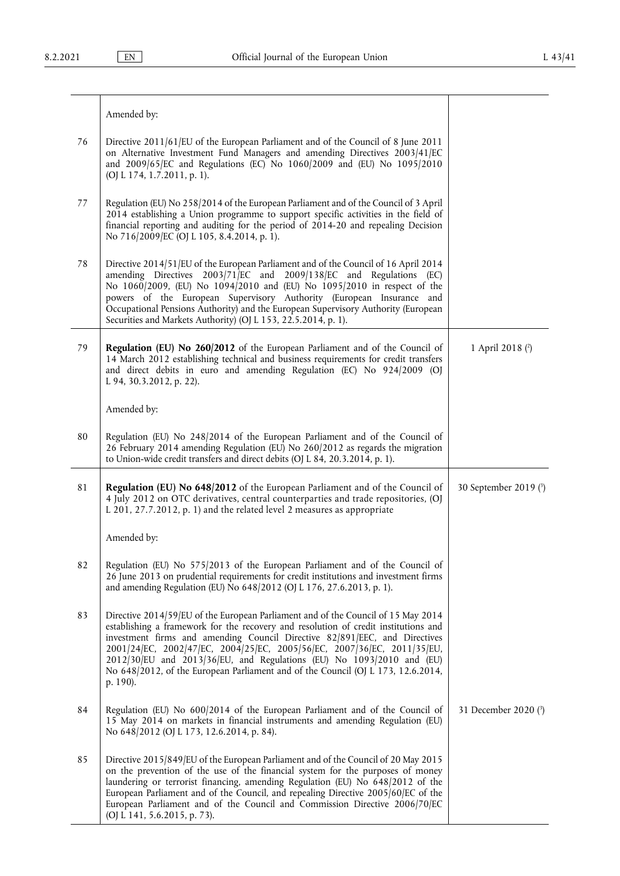|    | Amended by:                                                                                                                                                                                                                                                                                                                                                                                                                                                                                                |                       |
|----|------------------------------------------------------------------------------------------------------------------------------------------------------------------------------------------------------------------------------------------------------------------------------------------------------------------------------------------------------------------------------------------------------------------------------------------------------------------------------------------------------------|-----------------------|
| 76 | Directive 2011/61/EU of the European Parliament and of the Council of 8 June 2011<br>on Alternative Investment Fund Managers and amending Directives 2003/41/EC<br>and 2009/65/EC and Regulations (EC) No 1060/2009 and (EU) No 1095/2010<br>(OJ L 174, 1.7.2011, p. 1).                                                                                                                                                                                                                                   |                       |
| 77 | Regulation (EU) No 258/2014 of the European Parliament and of the Council of 3 April<br>2014 establishing a Union programme to support specific activities in the field of<br>financial reporting and auditing for the period of 2014-20 and repealing Decision<br>No 716/2009/EC (OJ L 105, 8.4.2014, p. 1).                                                                                                                                                                                              |                       |
| 78 | Directive 2014/51/EU of the European Parliament and of the Council of 16 April 2014<br>amending Directives 2003/71/EC and 2009/138/EC and Regulations (EC)<br>No 1060/2009, (EU) No 1094/2010 and (EU) No 1095/2010 in respect of the<br>powers of the European Supervisory Authority (European Insurance and<br>Occupational Pensions Authority) and the European Supervisory Authority (European<br>Securities and Markets Authority) (OJ L 153, 22.5.2014, p. 1).                                       |                       |
| 79 | Regulation (EU) No 260/2012 of the European Parliament and of the Council of<br>14 March 2012 establishing technical and business requirements for credit transfers<br>and direct debits in euro and amending Regulation (EC) No 924/2009 (OJ<br>L 94, 30.3.2012, p. 22).                                                                                                                                                                                                                                  | 1 April 2018 (2)      |
|    | Amended by:                                                                                                                                                                                                                                                                                                                                                                                                                                                                                                |                       |
| 80 | Regulation (EU) No 248/2014 of the European Parliament and of the Council of<br>26 February 2014 amending Regulation (EU) No 260/2012 as regards the migration<br>to Union-wide credit transfers and direct debits (OJ L 84, 20.3.2014, p. 1).                                                                                                                                                                                                                                                             |                       |
| 81 | Regulation (EU) No 648/2012 of the European Parliament and of the Council of<br>4 July 2012 on OTC derivatives, central counterparties and trade repositories, (OJ<br>L 201, 27.7.2012, p. 1) and the related level 2 measures as appropriate                                                                                                                                                                                                                                                              | 30 September 2019 (3) |
|    | Amended by:                                                                                                                                                                                                                                                                                                                                                                                                                                                                                                |                       |
| 82 | Regulation (EU) No 575/2013 of the European Parliament and of the Council of<br>26 June 2013 on prudential requirements for credit institutions and investment firms<br>and amending Regulation (EU) No 648/2012 (OJ L 176, 27.6.2013, p. 1).                                                                                                                                                                                                                                                              |                       |
| 83 | Directive 2014/59/EU of the European Parliament and of the Council of 15 May 2014<br>establishing a framework for the recovery and resolution of credit institutions and<br>investment firms and amending Council Directive 82/891/EEC, and Directives<br>2001/24/EC, 2002/47/EC, 2004/25/EC, 2005/56/EC, 2007/36/EC, 2011/35/EU,<br>2012/30/EU and 2013/36/EU, and Regulations (EU) No 1093/2010 and (EU)<br>No 648/2012, of the European Parliament and of the Council (OJ L 173, 12.6.2014,<br>p. 190). |                       |
| 84 | Regulation (EU) No 600/2014 of the European Parliament and of the Council of<br>15 May 2014 on markets in financial instruments and amending Regulation (EU)<br>No 648/2012 (OJ L 173, 12.6.2014, p. 84).                                                                                                                                                                                                                                                                                                  | 31 December 2020 (3)  |
| 85 | Directive 2015/849/EU of the European Parliament and of the Council of 20 May 2015<br>on the prevention of the use of the financial system for the purposes of money<br>laundering or terrorist financing, amending Regulation (EU) No 648/2012 of the<br>European Parliament and of the Council, and repealing Directive 2005/60/EC of the<br>European Parliament and of the Council and Commission Directive 2006/70/EC<br>(OJ L 141, 5.6.2015, p. 73).                                                  |                       |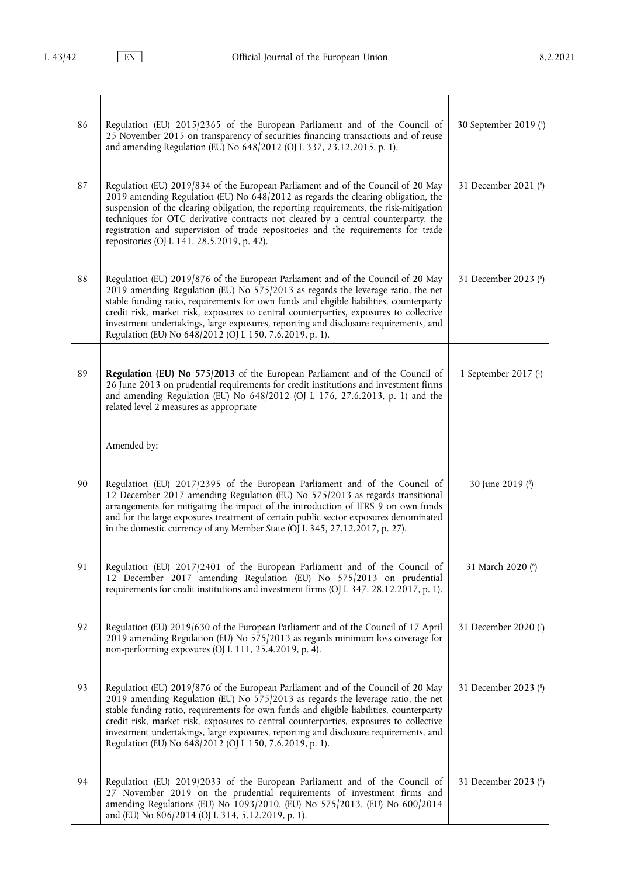| 86 | Regulation (EU) 2015/2365 of the European Parliament and of the Council of<br>25 November 2015 on transparency of securities financing transactions and of reuse<br>and amending Regulation (EU) No 648/2012 (OJ L 337, 23.12.2015, p. 1).                                                                                                                                                                                                                                                                     | 30 September 2019 (4)  |
|----|----------------------------------------------------------------------------------------------------------------------------------------------------------------------------------------------------------------------------------------------------------------------------------------------------------------------------------------------------------------------------------------------------------------------------------------------------------------------------------------------------------------|------------------------|
| 87 | Regulation (EU) 2019/834 of the European Parliament and of the Council of 20 May<br>2019 amending Regulation (EU) No 648/2012 as regards the clearing obligation, the<br>suspension of the clearing obligation, the reporting requirements, the risk-mitigation<br>techniques for OTC derivative contracts not cleared by a central counterparty, the<br>registration and supervision of trade repositories and the requirements for trade<br>repositories (OJ L 141, 28.5.2019, p. 42).                       | 31 December 2021 (8)   |
| 88 | Regulation (EU) 2019/876 of the European Parliament and of the Council of 20 May<br>2019 amending Regulation (EU) No $575/2013$ as regards the leverage ratio, the net<br>stable funding ratio, requirements for own funds and eligible liabilities, counterparty<br>credit risk, market risk, exposures to central counterparties, exposures to collective<br>investment undertakings, large exposures, reporting and disclosure requirements, and<br>Regulation (EU) No 648/2012 (OJ L 150, 7.6.2019, p. 1). | 31 December 2023 (8)   |
| 89 | Regulation (EU) No 575/2013 of the European Parliament and of the Council of<br>26 June 2013 on prudential requirements for credit institutions and investment firms<br>and amending Regulation (EU) No 648/2012 (OJ L 176, 27.6.2013, p. 1) and the<br>related level 2 measures as appropriate                                                                                                                                                                                                                | 1 September 2017 $(1)$ |
|    | Amended by:                                                                                                                                                                                                                                                                                                                                                                                                                                                                                                    |                        |
| 90 | Regulation (EU) 2017/2395 of the European Parliament and of the Council of<br>12 December 2017 amending Regulation (EU) No 575/2013 as regards transitional<br>arrangements for mitigating the impact of the introduction of IFRS 9 on own funds<br>and for the large exposures treatment of certain public sector exposures denominated<br>in the domestic currency of any Member State (OJ L 345, 27.12.2017, p. 27).                                                                                        | 30 June 2019 (6)       |
| 91 | Regulation (EU) 2017/2401 of the European Parliament and of the Council of<br>12 December 2017 amending Regulation (EU) No 575/2013 on prudential<br>requirements for credit institutions and investment firms (OJ L 347, 28.12.2017, p. 1).                                                                                                                                                                                                                                                                   | 31 March 2020 (6)      |
| 92 | Regulation (EU) 2019/630 of the European Parliament and of the Council of 17 April<br>2019 amending Regulation (EU) No 575/2013 as regards minimum loss coverage for<br>non-performing exposures (OJ L 111, 25.4.2019, p. 4).                                                                                                                                                                                                                                                                                  | 31 December 2020 (7)   |
| 93 | Regulation (EU) 2019/876 of the European Parliament and of the Council of 20 May<br>2019 amending Regulation (EU) No 575/2013 as regards the leverage ratio, the net<br>stable funding ratio, requirements for own funds and eligible liabilities, counterparty<br>credit risk, market risk, exposures to central counterparties, exposures to collective<br>investment undertakings, large exposures, reporting and disclosure requirements, and<br>Regulation (EU) No 648/2012 (OJ L 150, 7.6.2019, p. 1).   | 31 December 2023 (8)   |
| 94 | Regulation (EU) 2019/2033 of the European Parliament and of the Council of<br>27 November 2019 on the prudential requirements of investment firms and<br>amending Regulations (EU) No 1093/2010, (EU) No 575/2013, (EU) No 600/2014<br>and (EU) No 806/2014 (OJ L 314, 5.12.2019, p. 1).                                                                                                                                                                                                                       | 31 December 2023 (8)   |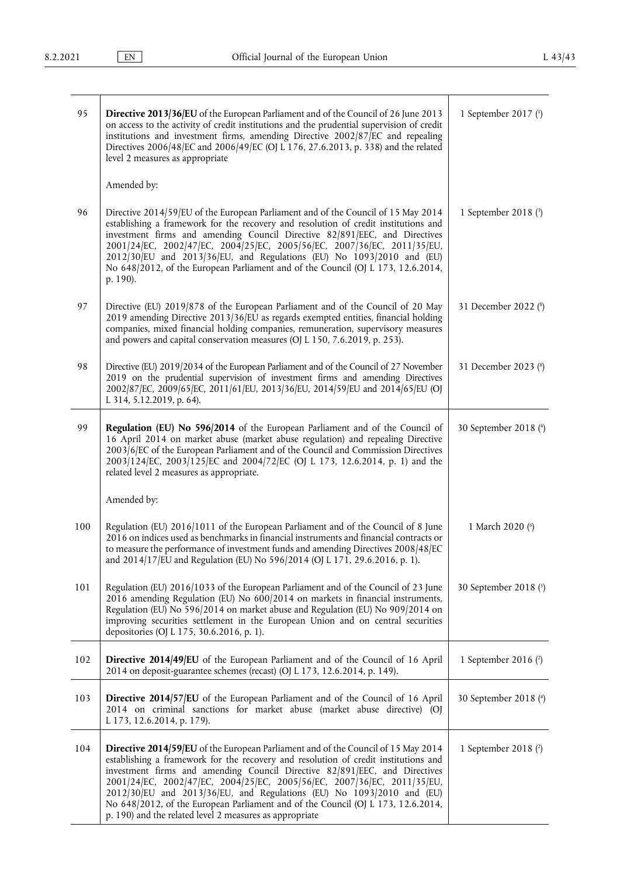| 95  | <b>Directive 2013/36/EU</b> of the European Parliament and of the Council of 26 June 2013<br>on access to the activity of credit institutions and the prudential supervision of credit<br>institutions and investment firms, amending Directive 2002/87/EC and repealing<br>Directives 2006/48/EC and 2006/49/EC (OJ L 176, 27.6.2013, p. 338) and the related<br>level 2 measures as appropriate                                                                                                                                                                | 1 September 2017 $(1)$ |
|-----|------------------------------------------------------------------------------------------------------------------------------------------------------------------------------------------------------------------------------------------------------------------------------------------------------------------------------------------------------------------------------------------------------------------------------------------------------------------------------------------------------------------------------------------------------------------|------------------------|
|     | Amended by:                                                                                                                                                                                                                                                                                                                                                                                                                                                                                                                                                      |                        |
| 96  | Directive 2014/59/EU of the European Parliament and of the Council of 15 May 2014<br>establishing a framework for the recovery and resolution of credit institutions and<br>investment firms and amending Council Directive 82/891/EEC, and Directives<br>2001/24/EC, 2002/47/EC, 2004/25/EC, 2005/56/EC, 2007/36/EC, 2011/35/EU,<br>2012/30/EU and 2013/36/EU, and Regulations (EU) No 1093/2010 and (EU)<br>No 648/2012, of the European Parliament and of the Council (OJ L 173, 12.6.2014,<br>p. 190).                                                       | 1 September 2018 (3)   |
| 97  | Directive (EU) 2019/878 of the European Parliament and of the Council of 20 May<br>2019 amending Directive 2013/36/EU as regards exempted entities, financial holding<br>companies, mixed financial holding companies, remuneration, supervisory measures<br>and powers and capital conservation measures (OJ L 150, 7.6.2019, p. 253).                                                                                                                                                                                                                          | 31 December 2022 (8)   |
| 98  | Directive (EU) 2019/2034 of the European Parliament and of the Council of 27 November<br>2019 on the prudential supervision of investment firms and amending Directives<br>2002/87/EC, 2009/65/EC, 2011/61/EU, 2013/36/EU, 2014/59/EU and 2014/65/EU (OJ<br>L 314, 5.12.2019, p. 64).                                                                                                                                                                                                                                                                            | 31 December 2023 (8)   |
| 99  | Regulation (EU) No 596/2014 of the European Parliament and of the Council of<br>16 April 2014 on market abuse (market abuse regulation) and repealing Directive<br>2003/6/EC of the European Parliament and of the Council and Commission Directives<br>2003/124/EC, 2003/125/EC and 2004/72/EC (OJ L 173, 12.6.2014, p. 1) and the<br>related level 2 measures as appropriate.                                                                                                                                                                                  | 30 September 2018 (4)  |
|     | Amended by:                                                                                                                                                                                                                                                                                                                                                                                                                                                                                                                                                      |                        |
| 100 | Regulation (EU) 2016/1011 of the European Parliament and of the Council of 8 June<br>2016 on indices used as benchmarks in financial instruments and financial contracts or<br>to measure the performance of investment funds and amending Directives 2008/48/EC<br>and 2014/17/EU and Regulation (EU) No 596/2014 (OJ L 171, 29.6.2016, p. 1).                                                                                                                                                                                                                  | 1 March 2020 (6)       |
| 101 | Regulation (EU) 2016/1033 of the European Parliament and of the Council of 23 June<br>2016 amending Regulation (EU) No 600/2014 on markets in financial instruments,<br>Regulation (EU) No 596/2014 on market abuse and Regulation (EU) No 909/2014 on<br>improving securities settlement in the European Union and on central securities<br>depositories (OJ L 175, 30.6.2016, p. 1).                                                                                                                                                                           | 30 September 2018 (5)  |
| 102 | Directive 2014/49/EU of the European Parliament and of the Council of 16 April<br>2014 on deposit-guarantee schemes (recast) (OJ L 173, 12.6.2014, p. 149).                                                                                                                                                                                                                                                                                                                                                                                                      | 1 September 2016 $(2)$ |
| 103 | Directive 2014/57/EU of the European Parliament and of the Council of 16 April<br>2014 on criminal sanctions for market abuse (market abuse directive) (OJ<br>L 173, 12.6.2014, p. 179).                                                                                                                                                                                                                                                                                                                                                                         | 30 September 2018 (4)  |
| 104 | <b>Directive 2014/59/EU</b> of the European Parliament and of the Council of 15 May 2014<br>establishing a framework for the recovery and resolution of credit institutions and<br>investment firms and amending Council Directive 82/891/EEC, and Directives<br>2001/24/EC, 2002/47/EC, 2004/25/EC, 2005/56/EC, 2007/36/EC, 2011/35/EU,<br>2012/30/EU and 2013/36/EU, and Regulations (EU) No 1093/2010 and (EU)<br>No 648/2012, of the European Parliament and of the Council (OJ L 173, 12.6.2014,<br>p. 190) and the related level 2 measures as appropriate | 1 September 2018 (2)   |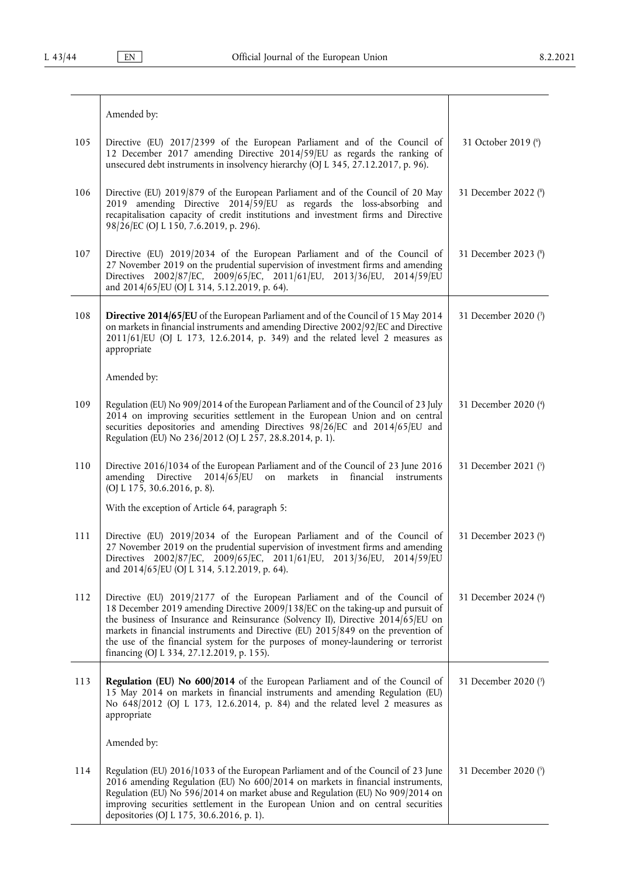|     | Amended by:                                                                                                                                                                                                                                                                                                                                                                                                                                                             |                      |
|-----|-------------------------------------------------------------------------------------------------------------------------------------------------------------------------------------------------------------------------------------------------------------------------------------------------------------------------------------------------------------------------------------------------------------------------------------------------------------------------|----------------------|
| 105 | Directive (EU) 2017/2399 of the European Parliament and of the Council of<br>12 December 2017 amending Directive 2014/59/EU as regards the ranking of<br>unsecured debt instruments in insolvency hierarchy (OJ L 345, 27.12.2017, p. 96).                                                                                                                                                                                                                              | 31 October 2019 (6)  |
| 106 | Directive (EU) 2019/879 of the European Parliament and of the Council of 20 May<br>amending Directive 2014/59/EU as regards the loss-absorbing and<br>2019<br>recapitalisation capacity of credit institutions and investment firms and Directive<br>98/26/EC (OJ L 150, 7.6.2019, p. 296).                                                                                                                                                                             | 31 December 2022 (8) |
| 107 | Directive (EU) 2019/2034 of the European Parliament and of the Council of<br>27 November 2019 on the prudential supervision of investment firms and amending<br>Directives 2002/87/EC, 2009/65/EC, 2011/61/EU, 2013/36/EU, 2014/59/EU<br>and 2014/65/EU (OJ L 314, 5.12.2019, p. 64).                                                                                                                                                                                   | 31 December 2023 (8) |
| 108 | Directive 2014/65/EU of the European Parliament and of the Council of 15 May 2014<br>on markets in financial instruments and amending Directive 2002/92/EC and Directive<br>2011/61/EU (OJ L 173, 12.6.2014, p. 349) and the related level 2 measures as<br>appropriate                                                                                                                                                                                                 | 31 December 2020 (3) |
|     | Amended by:                                                                                                                                                                                                                                                                                                                                                                                                                                                             |                      |
| 109 | Regulation (EU) No 909/2014 of the European Parliament and of the Council of 23 July<br>2014 on improving securities settlement in the European Union and on central<br>securities depositories and amending Directives 98/26/EC and 2014/65/EU and<br>Regulation (EU) No 236/2012 (OJ L 257, 28.8.2014, p. 1).                                                                                                                                                         | 31 December 2020 (4) |
| 110 | Directive 2016/1034 of the European Parliament and of the Council of 23 June 2016<br>amending Directive 2014/65/EU on markets<br>financial<br>in<br>instruments<br>(OJ L 175, 30.6.2016, p. 8).                                                                                                                                                                                                                                                                         | 31 December 2021 (5) |
|     | With the exception of Article 64, paragraph 5:                                                                                                                                                                                                                                                                                                                                                                                                                          |                      |
| 111 | Directive (EU) 2019/2034 of the European Parliament and of the Council of<br>27 November 2019 on the prudential supervision of investment firms and amending<br>Directives 2002/87/EC, 2009/65/EC, 2011/61/EU, 2013/36/EU, 2014/59/EU<br>and 2014/65/EU (OJ L 314, 5.12.2019, p. 64).                                                                                                                                                                                   | 31 December 2023 (8) |
| 112 | Directive (EU) 2019/2177 of the European Parliament and of the Council of<br>18 December 2019 amending Directive 2009/138/EC on the taking-up and pursuit of<br>the business of Insurance and Reinsurance (Solvency II), Directive 2014/65/EU on<br>markets in financial instruments and Directive (EU) 2015/849 on the prevention of<br>the use of the financial system for the purposes of money-laundering or terrorist<br>financing (OJ L 334, 27.12.2019, p. 155). | 31 December 2024 (8) |
| 113 | Regulation (EU) No 600/2014 of the European Parliament and of the Council of<br>15 May 2014 on markets in financial instruments and amending Regulation (EU)<br>No 648/2012 (OJ L 173, 12.6.2014, p. 84) and the related level 2 measures as<br>appropriate                                                                                                                                                                                                             | 31 December 2020 (3) |
|     | Amended by:                                                                                                                                                                                                                                                                                                                                                                                                                                                             |                      |
| 114 | Regulation (EU) 2016/1033 of the European Parliament and of the Council of 23 June<br>2016 amending Regulation (EU) No 600/2014 on markets in financial instruments,<br>Regulation (EU) No 596/2014 on market abuse and Regulation (EU) No 909/2014 on<br>improving securities settlement in the European Union and on central securities<br>depositories (OJ L 175, 30.6.2016, p. 1).                                                                                  | 31 December 2020 (5) |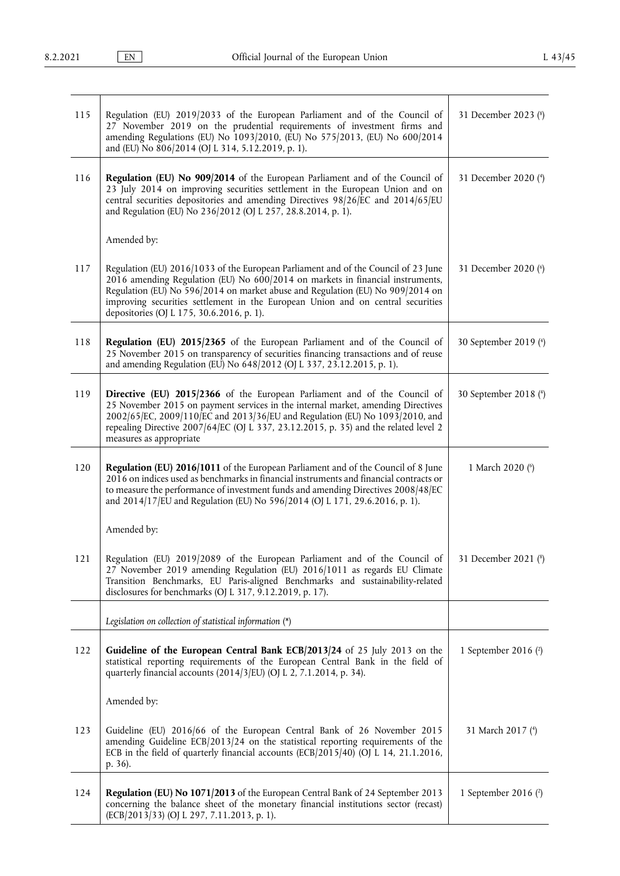<span id="page-12-0"></span>

| 115 | Regulation (EU) 2019/2033 of the European Parliament and of the Council of<br>27 November 2019 on the prudential requirements of investment firms and<br>amending Regulations (EU) No 1093/2010, (EU) No 575/2013, (EU) No 600/2014<br>and (EU) No 806/2014 (OJ L 314, 5.12.2019, p. 1).                                                                                               | 31 December 2023 (8)   |
|-----|----------------------------------------------------------------------------------------------------------------------------------------------------------------------------------------------------------------------------------------------------------------------------------------------------------------------------------------------------------------------------------------|------------------------|
| 116 | Regulation (EU) No 909/2014 of the European Parliament and of the Council of<br>23 July 2014 on improving securities settlement in the European Union and on<br>central securities depositories and amending Directives 98/26/EC and 2014/65/EU<br>and Regulation (EU) No 236/2012 (OJ L 257, 28.8.2014, p. 1).                                                                        | 31 December 2020 (4)   |
|     | Amended by:                                                                                                                                                                                                                                                                                                                                                                            |                        |
| 117 | Regulation (EU) 2016/1033 of the European Parliament and of the Council of 23 June<br>2016 amending Regulation (EU) No 600/2014 on markets in financial instruments,<br>Regulation (EU) No 596/2014 on market abuse and Regulation (EU) No 909/2014 on<br>improving securities settlement in the European Union and on central securities<br>depositories (OJ L 175, 30.6.2016, p. 1). | 31 December 2020 (6)   |
| 118 | Regulation (EU) 2015/2365 of the European Parliament and of the Council of<br>25 November 2015 on transparency of securities financing transactions and of reuse<br>and amending Regulation (EU) No 648/2012 (OJ L 337, 23.12.2015, p. 1).                                                                                                                                             | 30 September 2019 (4)  |
| 119 | Directive (EU) 2015/2366 of the European Parliament and of the Council of<br>25 November 2015 on payment services in the internal market, amending Directives<br>2002/65/EC, 2009/110/EC and 2013/36/EU and Regulation (EU) No 1093/2010, and<br>repealing Directive 2007/64/EC (OJ L 337, 23.12.2015, p. 35) and the related level 2<br>measures as appropriate                       | 30 September 2018 (4)  |
| 120 | Regulation (EU) 2016/1011 of the European Parliament and of the Council of 8 June<br>2016 on indices used as benchmarks in financial instruments and financial contracts or<br>to measure the performance of investment funds and amending Directives 2008/48/EC<br>and 2014/17/EU and Regulation (EU) No 596/2014 (OJ L 171, 29.6.2016, p. 1).                                        | 1 March 2020 (6)       |
|     | Amended by:                                                                                                                                                                                                                                                                                                                                                                            |                        |
| 121 | Regulation (EU) 2019/2089 of the European Parliament and of the Council of<br>27 November 2019 amending Regulation (EU) 2016/1011 as regards EU Climate<br>Transition Benchmarks, EU Paris-aligned Benchmarks and sustainability-related<br>disclosures for benchmarks (OJ L 317, 9.12.2019, p. 17).                                                                                   | 31 December 2021 (8)   |
|     | Legislation on collection of statistical information $(*)$                                                                                                                                                                                                                                                                                                                             |                        |
| 122 | Guideline of the European Central Bank ECB/2013/24 of 25 July 2013 on the<br>statistical reporting requirements of the European Central Bank in the field of<br>quarterly financial accounts (2014/3/EU) (OJ L 2, 7.1.2014, p. 34).                                                                                                                                                    | 1 September 2016 $(2)$ |
|     | Amended by:                                                                                                                                                                                                                                                                                                                                                                            |                        |
| 123 | Guideline (EU) 2016/66 of the European Central Bank of 26 November 2015<br>amending Guideline ECB/2013/24 on the statistical reporting requirements of the<br>ECB in the field of quarterly financial accounts (ECB/2015/40) (OJ L 14, 21.1.2016,<br>p. 36).                                                                                                                           | 31 March 2017 (4)      |
| 124 | Regulation (EU) No 1071/2013 of the European Central Bank of 24 September 2013<br>concerning the balance sheet of the monetary financial institutions sector (recast)<br>(ECB/2013/33) (OJ L 297, 7.11.2013, p. 1).                                                                                                                                                                    | 1 September 2016 $(2)$ |